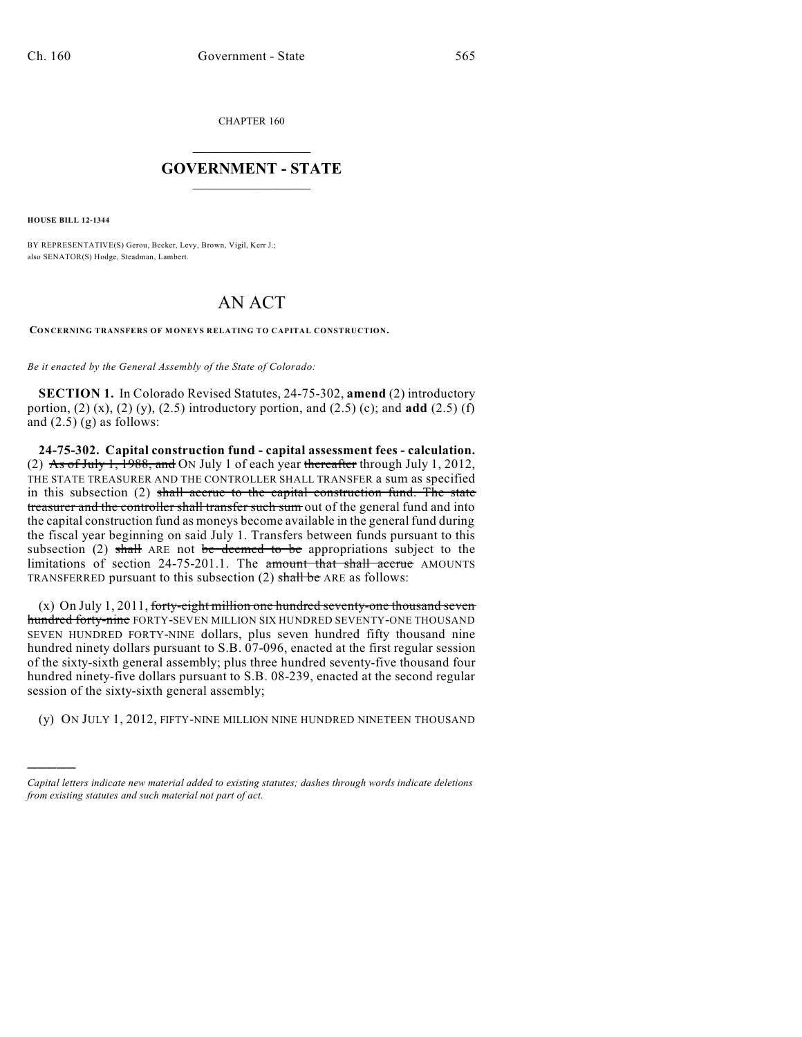CHAPTER 160

## $\overline{\phantom{a}}$  . The set of the set of the set of the set of the set of the set of the set of the set of the set of the set of the set of the set of the set of the set of the set of the set of the set of the set of the set o **GOVERNMENT - STATE**  $\_$

**HOUSE BILL 12-1344**

)))))

BY REPRESENTATIVE(S) Gerou, Becker, Levy, Brown, Vigil, Kerr J.; also SENATOR(S) Hodge, Steadman, Lambert.

## AN ACT

**CONCERNING TRANSFERS OF MONEYS RELATING TO CAPITAL CONSTRUCTION.**

*Be it enacted by the General Assembly of the State of Colorado:*

**SECTION 1.** In Colorado Revised Statutes, 24-75-302, **amend** (2) introductory portion, (2) (x), (2) (y), (2.5) introductory portion, and (2.5) (c); and **add** (2.5) (f) and  $(2.5)$  (g) as follows:

**24-75-302. Capital construction fund - capital assessment fees - calculation.** (2) As of July 1, 1988, and ON July 1 of each year thereafter through July 1, 2012, THE STATE TREASURER AND THE CONTROLLER SHALL TRANSFER a sum as specified in this subsection  $(2)$  shall accrue to the capital construction fund. The state treasurer and the controller shall transfer such sum out of the general fund and into the capital construction fund as moneys become available in the general fund during the fiscal year beginning on said July 1. Transfers between funds pursuant to this subsection (2) shall ARE not be deemed to be appropriations subject to the limitations of section 24-75-201.1. The amount that shall accrue AMOUNTS TRANSFERRED pursuant to this subsection  $(2)$  shall be ARE as follows:

(x) On July 1, 2011, forty-eight million one hundred seventy-one thousand seven hundred forty-nine FORTY-SEVEN MILLION SIX HUNDRED SEVENTY-ONE THOUSAND SEVEN HUNDRED FORTY-NINE dollars, plus seven hundred fifty thousand nine hundred ninety dollars pursuant to S.B. 07-096, enacted at the first regular session of the sixty-sixth general assembly; plus three hundred seventy-five thousand four hundred ninety-five dollars pursuant to S.B. 08-239, enacted at the second regular session of the sixty-sixth general assembly;

(y) ON JULY 1, 2012, FIFTY-NINE MILLION NINE HUNDRED NINETEEN THOUSAND

*Capital letters indicate new material added to existing statutes; dashes through words indicate deletions from existing statutes and such material not part of act.*